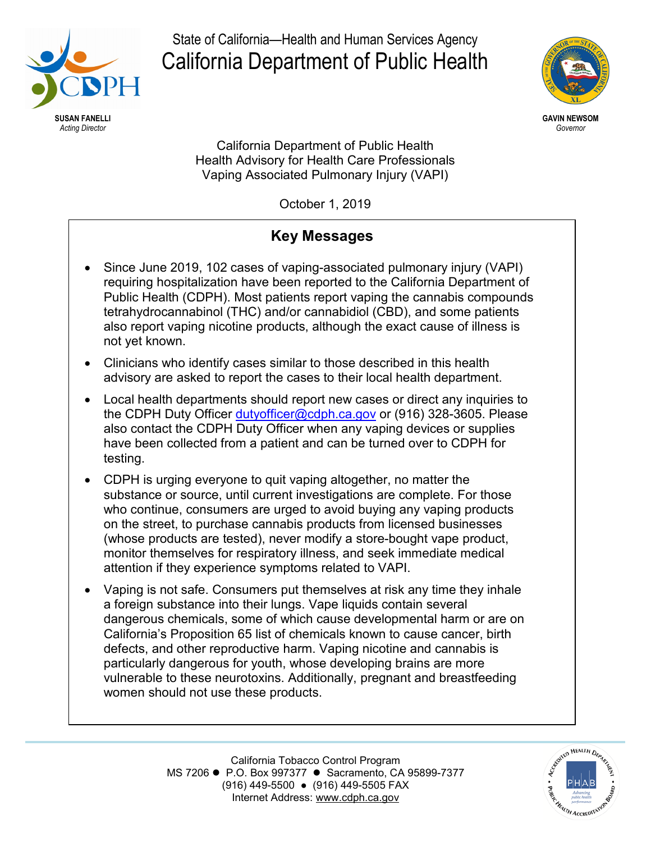

State of California—Health and Human Services Agency California Department of Public Health



California Department of Public Health Health Advisory for Health Care Professionals Vaping Associated Pulmonary Injury (VAPI)

October 1, 2019

# **Key Messages**

- Since June 2019, 102 cases of vaping-associated pulmonary injury (VAPI) requiring hospitalization have been reported to the California Department of Public Health (CDPH). Most patients report vaping the cannabis compounds tetrahydrocannabinol (THC) and/or cannabidiol (CBD), and some patients also report vaping nicotine products, although the exact cause of illness is not yet known.
- Clinicians who identify cases similar to those described in this health advisory are asked to report the cases to their local health department.
- Local health departments should report new cases or direct any inquiries to the CDPH Duty Officer [dutyofficer@cdph.ca.gov](mailto:dutyofficer@cdph.ca.gov) or (916) 328-3605. Please also contact the CDPH Duty Officer when any vaping devices or supplies have been collected from a patient and can be turned over to CDPH for testing.
- CDPH is urging everyone to quit vaping altogether, no matter the substance or source, until current investigations are complete. For those who continue, consumers are urged to avoid buying any vaping products on the street, to purchase cannabis products from licensed businesses (whose products are tested), never modify a store-bought vape product, monitor themselves for respiratory illness, and seek immediate medical attention if they experience symptoms related to VAPI.
- Vaping is not safe. Consumers put themselves at risk any time they inhale a foreign substance into their lungs. Vape liquids contain several dangerous chemicals, some of which cause developmental harm or are on California's Proposition 65 list of chemicals known to cause cancer, birth defects, and other reproductive harm. Vaping nicotine and cannabis is particularly dangerous for youth, whose developing brains are more vulnerable to these neurotoxins. Additionally, pregnant and breastfeeding women should not use these products.

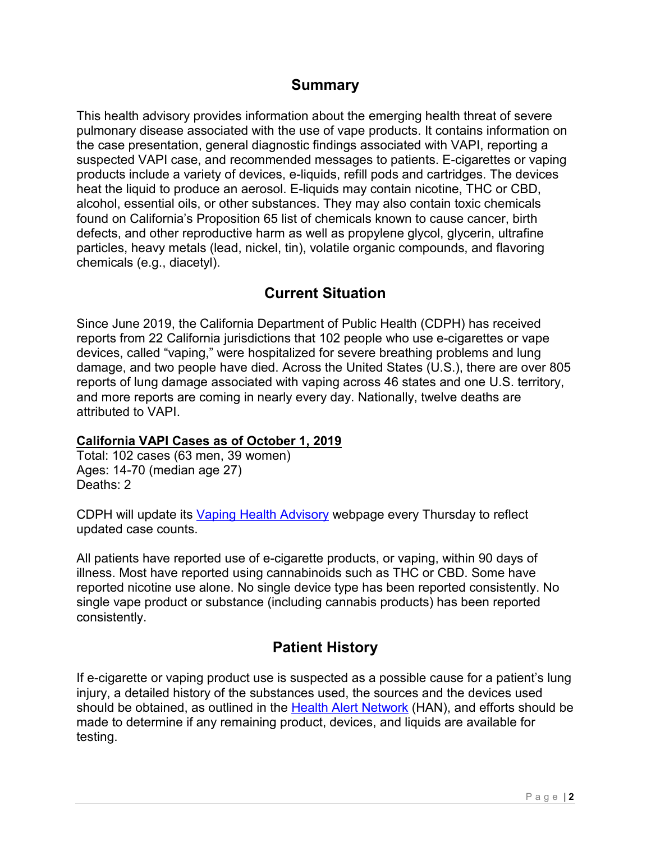### **Summary**

This health advisory provides information about the emerging health threat of severe pulmonary disease associated with the use of vape products. It contains information on the case presentation, general diagnostic findings associated with VAPI, reporting a suspected VAPI case, and recommended messages to patients. E-cigarettes or vaping products include a variety of devices, e-liquids, refill pods and cartridges. The devices heat the liquid to produce an aerosol. E-liquids may contain nicotine, THC or CBD, alcohol, essential oils, or other substances. They may also contain toxic chemicals found on California's Proposition 65 list of chemicals known to cause cancer, birth defects, and other reproductive harm as well as propylene glycol, glycerin, ultrafine particles, heavy metals (lead, nickel, tin), volatile organic compounds, and flavoring chemicals (e.g., diacetyl).

### **Current Situation**

Since June 2019, the California Department of Public Health (CDPH) has received reports from 22 California jurisdictions that 102 people who use e-cigarettes or vape devices, called "vaping," were hospitalized for severe breathing problems and lung damage, and two people have died. Across the United States (U.S.), there are over 805 reports of lung damage associated with vaping across 46 states and one U.S. territory, and more reports are coming in nearly every day. Nationally, twelve deaths are attributed to VAPI.

#### **California VAPI Cases as of October 1, 2019**

Total: 102 cases (63 men, 39 women) Ages: 14-70 (median age 27) Deaths: 2

CDPH will update its [Vaping Health](https://www.cdph.ca.gov/Programs/CCDPHP/Pages/Vaping-Health-Advisory.aspx) Advisory webpage every Thursday to reflect updated case counts.

All patients have reported use of e-cigarette products, or vaping, within 90 days of illness. Most have reported using cannabinoids such as THC or CBD. Some have reported nicotine use alone. No single device type has been reported consistently. No single vape product or substance (including cannabis products) has been reported consistently.

### **Patient History**

If e-cigarette or vaping product use is suspected as a possible cause for a patient's lung injury, a detailed history of the substances used, the sources and the devices used should be obtained, as outlined in the [Health Alert Network](https://emergency.cdc.gov/han/han00421.asp) (HAN), and efforts should be made to determine if any remaining product, devices, and liquids are available for testing.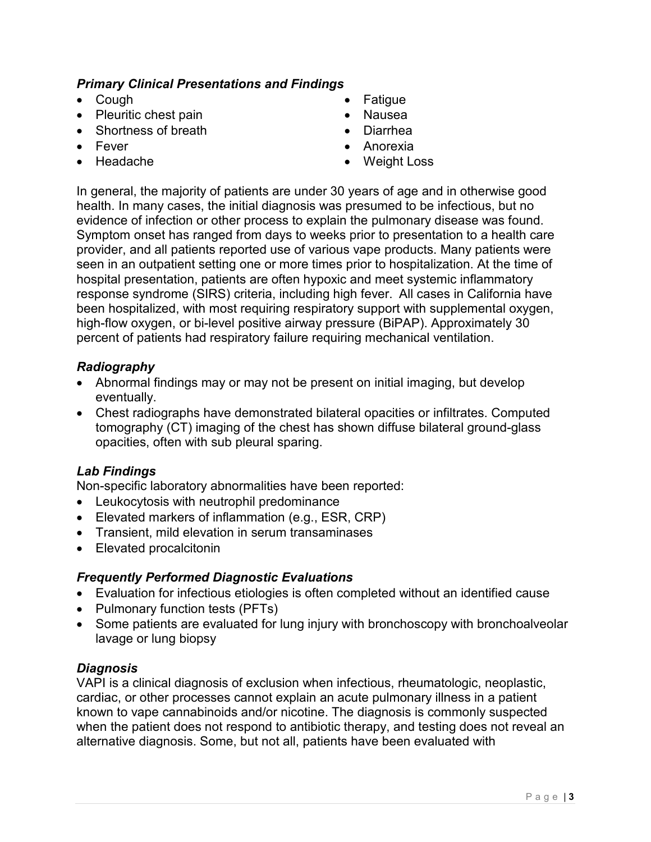#### *Primary Clinical Presentations and Findings*

- Cough
- Pleuritic chest pain
- Shortness of breath
- Fever
- Headache
- **Fatigue**
- Nausea
- Diarrhea
- Anorexia
- Weight Loss

In general, the majority of patients are under 30 years of age and in otherwise good health. In many cases, the initial diagnosis was presumed to be infectious, but no evidence of infection or other process to explain the pulmonary disease was found. Symptom onset has ranged from days to weeks prior to presentation to a health care provider, and all patients reported use of various vape products. Many patients were seen in an outpatient setting one or more times prior to hospitalization. At the time of hospital presentation, patients are often hypoxic and meet systemic inflammatory response syndrome (SIRS) criteria, including high fever. All cases in California have been hospitalized, with most requiring respiratory support with supplemental oxygen, high-flow oxygen, or bi-level positive airway pressure (BiPAP). Approximately 30 percent of patients had respiratory failure requiring mechanical ventilation.

#### *Radiography*

- Abnormal findings may or may not be present on initial imaging, but develop eventually.
- Chest radiographs have demonstrated bilateral opacities or infiltrates. Computed tomography (CT) imaging of the chest has shown diffuse bilateral ground-glass opacities, often with sub pleural sparing.

#### *Lab Findings*

Non-specific laboratory abnormalities have been reported:

- Leukocytosis with neutrophil predominance
- Elevated markers of inflammation (e.g., ESR, CRP)
- Transient, mild elevation in serum transaminases
- Elevated procalcitonin

#### *Frequently Performed Diagnostic Evaluations*

- Evaluation for infectious etiologies is often completed without an identified cause
- Pulmonary function tests (PFTs)
- Some patients are evaluated for lung injury with bronchoscopy with bronchoalveolar lavage or lung biopsy

#### *Diagnosis*

VAPI is a clinical diagnosis of exclusion when infectious, rheumatologic, neoplastic, cardiac, or other processes cannot explain an acute pulmonary illness in a patient known to vape cannabinoids and/or nicotine. The diagnosis is commonly suspected when the patient does not respond to antibiotic therapy, and testing does not reveal an alternative diagnosis. Some, but not all, patients have been evaluated with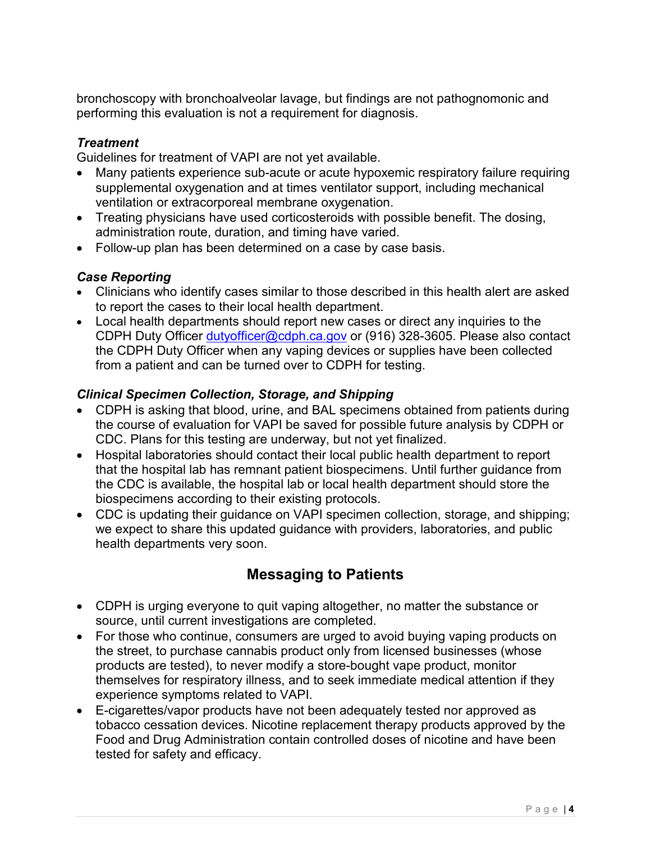bronchoscopy with bronchoalveolar lavage, but findings are not pathognomonic and performing this evaluation is not a requirement for diagnosis.

#### *Treatment*

Guidelines for treatment of VAPI are not yet available.

- Many patients experience sub-acute or acute hypoxemic respiratory failure requiring supplemental oxygenation and at times ventilator support, including mechanical ventilation or extracorporeal membrane oxygenation.
- Treating physicians have used corticosteroids with possible benefit. The dosing, administration route, duration, and timing have varied.
- Follow-up plan has been determined on a case by case basis.

#### *Case Reporting*

- Clinicians who identify cases similar to those described in this health alert are asked to report the cases to their local health department.
- Local health departments should report new cases or direct any inquiries to the CDPH Duty Officer [dutyofficer@cdph.ca.gov](mailto:dutyofficer@cdph.ca.gov) or (916) 328-3605. Please also contact the CDPH Duty Officer when any vaping devices or supplies have been collected from a patient and can be turned over to CDPH for testing.

#### *Clinical Specimen Collection, Storage, and Shipping*

- CDPH is asking that blood, urine, and BAL specimens obtained from patients during the course of evaluation for VAPI be saved for possible future analysis by CDPH or CDC. Plans for this testing are underway, but not yet finalized.
- Hospital laboratories should contact their local public health department to report that the hospital lab has remnant patient biospecimens. Until further guidance from the CDC is available, the hospital lab or local health department should store the biospecimens according to their existing protocols.
- CDC is updating their guidance on VAPI specimen collection, storage, and shipping; we expect to share this updated guidance with providers, laboratories, and public health departments very soon.

## **Messaging to Patients**

- CDPH is urging everyone to quit vaping altogether, no matter the substance or source, until current investigations are completed.
- For those who continue, consumers are urged to avoid buying vaping products on the street, to purchase cannabis product only from licensed businesses (whose products are tested), to never modify a store-bought vape product, monitor themselves for respiratory illness, and to seek immediate medical attention if they experience symptoms related to VAPI.
- E-cigarettes/vapor products have not been adequately tested nor approved as tobacco cessation devices. Nicotine replacement therapy products approved by the Food and Drug Administration contain controlled doses of nicotine and have been tested for safety and efficacy.